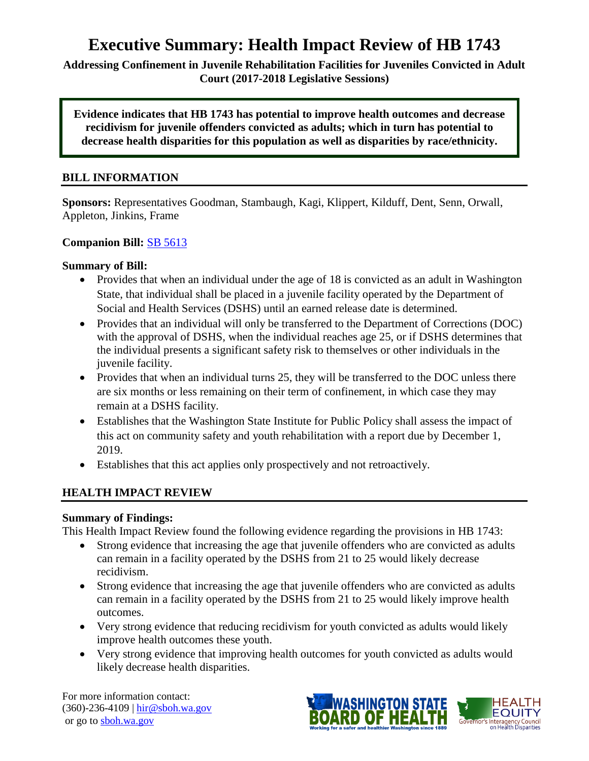# **Executive Summary: Health Impact Review of HB 1743**

**Addressing Confinement in Juvenile Rehabilitation Facilities for Juveniles Convicted in Adult Court (2017-2018 Legislative Sessions)**

**Evidence indicates that HB 1743 has potential to improve health outcomes and decrease recidivism for juvenile offenders convicted as adults; which in turn has potential to decrease health disparities for this population as well as disparities by race/ethnicity.**

## **BILL INFORMATION**

**Sponsors:** Representatives Goodman, Stambaugh, Kagi, Klippert, Kilduff, Dent, Senn, Orwall, Appleton, Jinkins, Frame

#### **Companion Bill:** [SB 5613](http://app.leg.wa.gov/billsummary?BillNumber=5613&Chamber=Senate&Year=2017)

#### **Summary of Bill:**

- Provides that when an individual under the age of 18 is convicted as an adult in Washington State, that individual shall be placed in a juvenile facility operated by the Department of Social and Health Services (DSHS) until an earned release date is determined.
- Provides that an individual will only be transferred to the Department of Corrections (DOC) with the approval of DSHS, when the individual reaches age 25, or if DSHS determines that the individual presents a significant safety risk to themselves or other individuals in the juvenile facility.
- Provides that when an individual turns 25, they will be transferred to the DOC unless there are six months or less remaining on their term of confinement, in which case they may remain at a DSHS facility.
- Establishes that the Washington State Institute for Public Policy shall assess the impact of this act on community safety and youth rehabilitation with a report due by December 1, 2019.
- Establishes that this act applies only prospectively and not retroactively.

## **HEALTH IMPACT REVIEW**

#### **Summary of Findings:**

This Health Impact Review found the following evidence regarding the provisions in HB 1743:

- Strong evidence that increasing the age that juvenile offenders who are convicted as adults can remain in a facility operated by the DSHS from 21 to 25 would likely decrease recidivism.
- Strong evidence that increasing the age that juvenile offenders who are convicted as adults can remain in a facility operated by the DSHS from 21 to 25 would likely improve health outcomes.
- Very strong evidence that reducing recidivism for youth convicted as adults would likely improve health outcomes these youth.
- Very strong evidence that improving health outcomes for youth convicted as adults would likely decrease health disparities.

For more information contact: (360)-236-4109 | [hir@sboh.wa.gov](mailto:hir@sboh.wa.gov) or go to [sboh.wa.gov](http://sboh.wa.gov/)

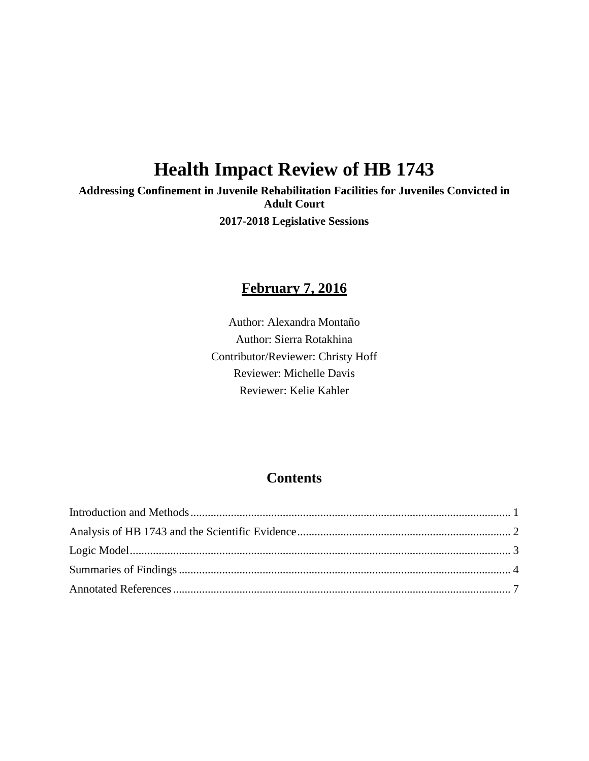# **Health Impact Review of HB 1743**

**Addressing Confinement in Juvenile Rehabilitation Facilities for Juveniles Convicted in Adult Court 2017-2018 Legislative Sessions**

# **February 7, 2016**

Author: Alexandra Montaño Author: Sierra Rotakhina Contributor/Reviewer: Christy Hoff Reviewer: Michelle Davis Reviewer: Kelie Kahler

# **Contents**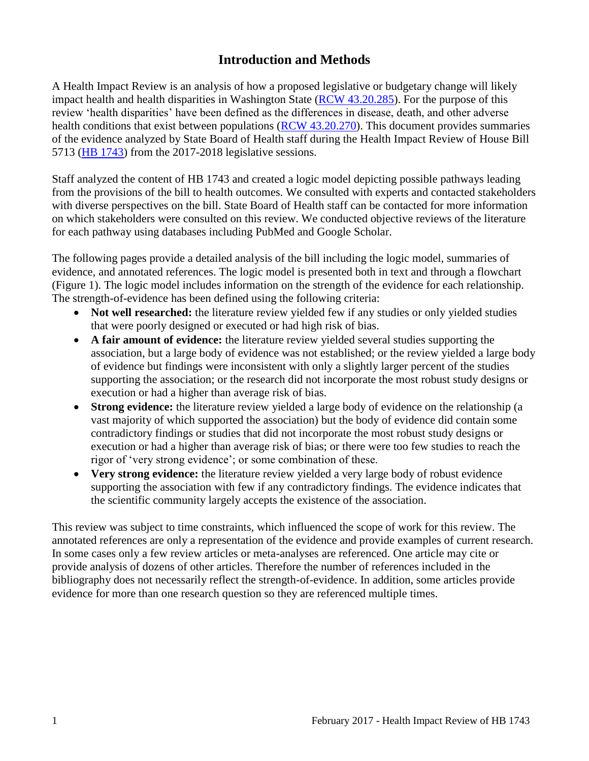# **Introduction and Methods**

<span id="page-2-0"></span>A Health Impact Review is an analysis of how a proposed legislative or budgetary change will likely impact health and health disparities in Washington State [\(RCW 43.20.285\)](http://apps.leg.wa.gov/rcw/default.aspx?cite=43.20.285). For the purpose of this review 'health disparities' have been defined as the differences in disease, death, and other adverse health conditions that exist between populations [\(RCW 43.20.270\)](http://apps.leg.wa.gov/rcw/default.aspx?cite=43.20.270). This document provides summaries of the evidence analyzed by State Board of Health staff during the Health Impact Review of House Bill 5713 [\(HB 1743\)](http://lawfilesext.leg.wa.gov/biennium/2017-18/Pdf/Bills/House%20Bills/1743.pdf) from the 2017-2018 legislative sessions.

Staff analyzed the content of HB 1743 and created a logic model depicting possible pathways leading from the provisions of the bill to health outcomes. We consulted with experts and contacted stakeholders with diverse perspectives on the bill. State Board of Health staff can be contacted for more information on which stakeholders were consulted on this review. We conducted objective reviews of the literature for each pathway using databases including PubMed and Google Scholar.

The following pages provide a detailed analysis of the bill including the logic model, summaries of evidence, and annotated references. The logic model is presented both in text and through a flowchart (Figure 1). The logic model includes information on the strength of the evidence for each relationship. The strength-of-evidence has been defined using the following criteria:

- Not well researched: the literature review yielded few if any studies or only yielded studies that were poorly designed or executed or had high risk of bias.
- **A fair amount of evidence:** the literature review yielded several studies supporting the association, but a large body of evidence was not established; or the review yielded a large body of evidence but findings were inconsistent with only a slightly larger percent of the studies supporting the association; or the research did not incorporate the most robust study designs or execution or had a higher than average risk of bias.
- **Strong evidence:** the literature review yielded a large body of evidence on the relationship (a vast majority of which supported the association) but the body of evidence did contain some contradictory findings or studies that did not incorporate the most robust study designs or execution or had a higher than average risk of bias; or there were too few studies to reach the rigor of 'very strong evidence'; or some combination of these.
- **Very strong evidence:** the literature review yielded a very large body of robust evidence supporting the association with few if any contradictory findings. The evidence indicates that the scientific community largely accepts the existence of the association.

This review was subject to time constraints, which influenced the scope of work for this review. The annotated references are only a representation of the evidence and provide examples of current research. In some cases only a few review articles or meta-analyses are referenced. One article may cite or provide analysis of dozens of other articles. Therefore the number of references included in the bibliography does not necessarily reflect the strength-of-evidence. In addition, some articles provide evidence for more than one research question so they are referenced multiple times.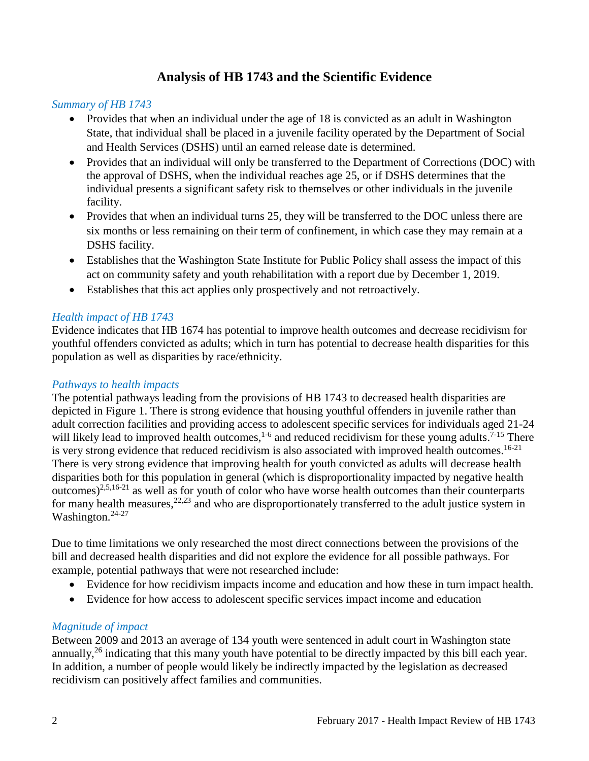## **Analysis of HB 1743 and the Scientific Evidence**

#### <span id="page-3-0"></span>*Summary of HB 1743*

- Provides that when an individual under the age of 18 is convicted as an adult in Washington State, that individual shall be placed in a juvenile facility operated by the Department of Social and Health Services (DSHS) until an earned release date is determined.
- Provides that an individual will only be transferred to the Department of Corrections (DOC) with the approval of DSHS, when the individual reaches age 25, or if DSHS determines that the individual presents a significant safety risk to themselves or other individuals in the juvenile facility.
- Provides that when an individual turns 25, they will be transferred to the DOC unless there are six months or less remaining on their term of confinement, in which case they may remain at a DSHS facility.
- Establishes that the Washington State Institute for Public Policy shall assess the impact of this act on community safety and youth rehabilitation with a report due by December 1, 2019.
- Establishes that this act applies only prospectively and not retroactively.

## *Health impact of HB 1743*

Evidence indicates that HB 1674 has potential to improve health outcomes and decrease recidivism for youthful offenders convicted as adults; which in turn has potential to decrease health disparities for this population as well as disparities by race/ethnicity.

#### *Pathways to health impacts*

The potential pathways leading from the provisions of HB 1743 to decreased health disparities are depicted in Figure 1. There is strong evidence that housing youthful offenders in juvenile rather than adult correction facilities and providing access to adolescent specific services for individuals aged 21-24 will likely lead to improved health outcomes,  $1-6$  and reduced recidivism for these young adults.  $7-15$  There is very strong evidence that reduced recidivism is also associated with improved health outcomes.<sup>16-21</sup> There is very strong evidence that improving health for youth convicted as adults will decrease health disparities both for this population in general (which is disproportionality impacted by negative health outcomes)<sup>2,5,16-21</sup> as well as for youth of color who have worse health outcomes than their counterparts for many health measures,  $22,23$  and who are disproportionately transferred to the adult justice system in Washington.<sup>24-27</sup>

Due to time limitations we only researched the most direct connections between the provisions of the bill and decreased health disparities and did not explore the evidence for all possible pathways. For example, potential pathways that were not researched include:

- Evidence for how recidivism impacts income and education and how these in turn impact health.
- Evidence for how access to adolescent specific services impact income and education

## *Magnitude of impact*

<span id="page-3-1"></span>Between 2009 and 2013 an average of 134 youth were sentenced in adult court in Washington state annually,  $^{26}$  indicating that this many youth have potential to be directly impacted by this bill each year. In addition, a number of people would likely be indirectly impacted by the legislation as decreased recidivism can positively affect families and communities.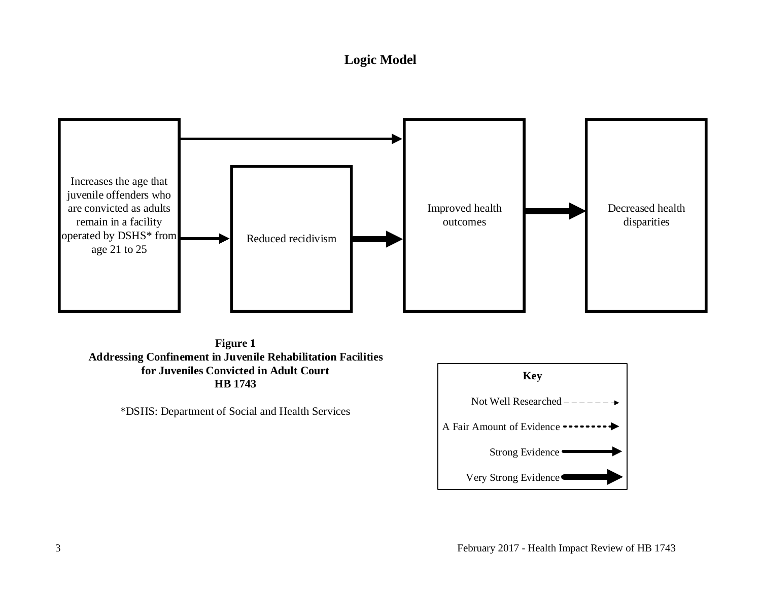## **Logic Model**



**Figure 1 Addressing Confinement in Juvenile Rehabilitation Facilities for Juveniles Convicted in Adult Court HB 1743** Figure 1<br>Sing Confinement in Juvenile Rehabilitation Fa<br>for Juveniles Convicted in Adult Court<br>HB 1743<br>\*DSHS: Department of Social and Health Services

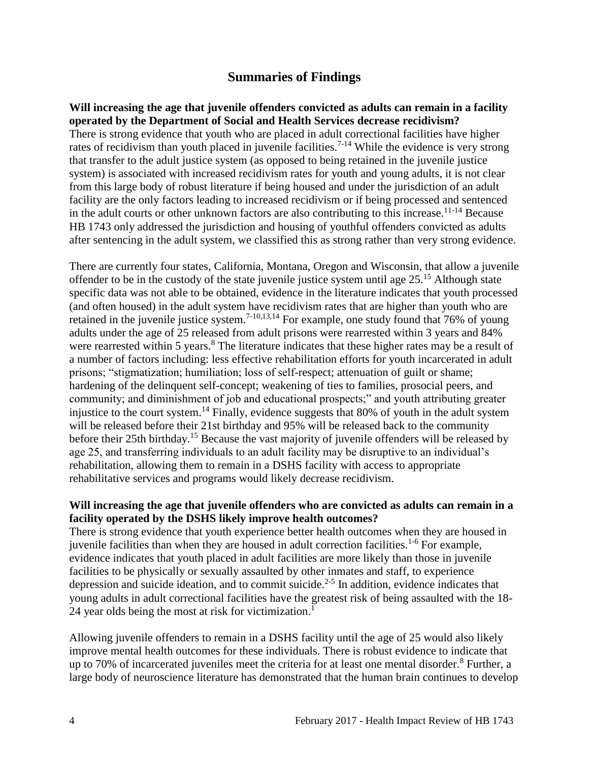## **Summaries of Findings**

<span id="page-5-0"></span>**Will increasing the age that juvenile offenders convicted as adults can remain in a facility operated by the Department of Social and Health Services decrease recidivism?** There is strong evidence that youth who are placed in adult correctional facilities have higher rates of recidivism than youth placed in juvenile facilities.<sup>7-14</sup> While the evidence is very strong that transfer to the adult justice system (as opposed to being retained in the juvenile justice system) is associated with increased recidivism rates for youth and young adults, it is not clear from this large body of robust literature if being housed and under the jurisdiction of an adult facility are the only factors leading to increased recidivism or if being processed and sentenced in the adult courts or other unknown factors are also contributing to this increase.<sup>11-14</sup> Because HB 1743 only addressed the jurisdiction and housing of youthful offenders convicted as adults after sentencing in the adult system, we classified this as strong rather than very strong evidence.

There are currently four states, California, Montana, Oregon and Wisconsin, that allow a juvenile offender to be in the custody of the state juvenile justice system until age 25.<sup>15</sup> Although state specific data was not able to be obtained, evidence in the literature indicates that youth processed (and often housed) in the adult system have recidivism rates that are higher than youth who are retained in the juvenile justice system.<sup>7-10,13,14</sup> For example, one study found that  $76\%$  of young adults under the age of 25 released from adult prisons were rearrested within 3 years and 84% were rearrested within 5 years.<sup>8</sup> The literature indicates that these higher rates may be a result of a number of factors including: less effective rehabilitation efforts for youth incarcerated in adult prisons; "stigmatization; humiliation; loss of self-respect; attenuation of guilt or shame; hardening of the delinquent self-concept; weakening of ties to families, prosocial peers, and community; and diminishment of job and educational prospects;" and youth attributing greater injustice to the court system.<sup>14</sup> Finally, evidence suggests that 80% of youth in the adult system will be released before their 21st birthday and 95% will be released back to the community before their 25th birthday.<sup>15</sup> Because the vast majority of juvenile offenders will be released by age 25, and transferring individuals to an adult facility may be disruptive to an individual's rehabilitation, allowing them to remain in a DSHS facility with access to appropriate rehabilitative services and programs would likely decrease recidivism.

#### **Will increasing the age that juvenile offenders who are convicted as adults can remain in a facility operated by the DSHS likely improve health outcomes?**

There is strong evidence that youth experience better health outcomes when they are housed in juvenile facilities than when they are housed in adult correction facilities.<sup>1-6</sup> For example, evidence indicates that youth placed in adult facilities are more likely than those in juvenile facilities to be physically or sexually assaulted by other inmates and staff, to experience depression and suicide ideation, and to commit suicide.<sup>2-5</sup> In addition, evidence indicates that young adults in adult correctional facilities have the greatest risk of being assaulted with the 18- 24 year olds being the most at risk for victimization.<sup>1</sup>

Allowing juvenile offenders to remain in a DSHS facility until the age of 25 would also likely improve mental health outcomes for these individuals. There is robust evidence to indicate that up to 70% of incarcerated juveniles meet the criteria for at least one mental disorder.<sup>8</sup> Further, a large body of neuroscience literature has demonstrated that the human brain continues to develop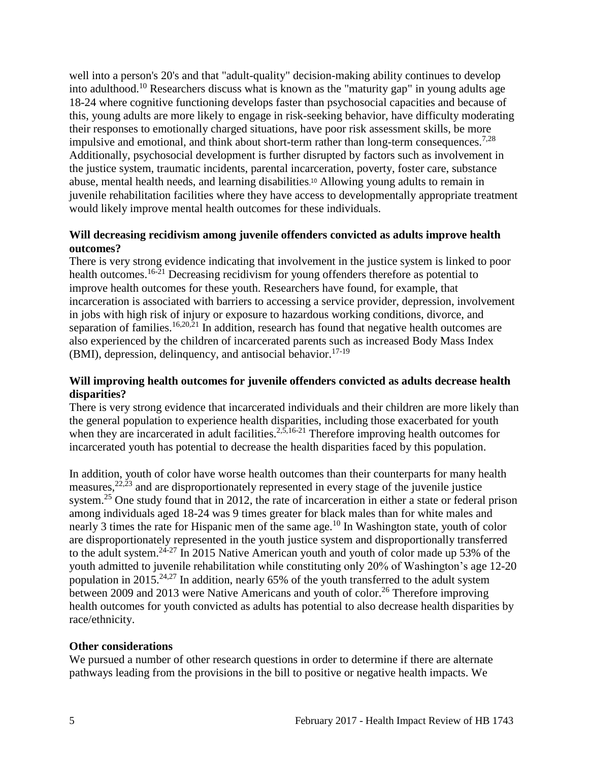well into a person's 20's and that "adult-quality" decision-making ability continues to develop into adulthood.<sup>10</sup> Researchers discuss what is known as the "maturity gap" in young adults age 18-24 where cognitive functioning develops faster than psychosocial capacities and because of this, young adults are more likely to engage in risk-seeking behavior, have difficulty moderating their responses to emotionally charged situations, have poor risk assessment skills, be more impulsive and emotional, and think about short-term rather than long-term consequences.<sup>7,28</sup> Additionally, psychosocial development is further disrupted by factors such as involvement in the justice system, traumatic incidents, parental incarceration, poverty, foster care, substance abuse, mental health needs, and learning disabilities. <sup>10</sup> Allowing young adults to remain in juvenile rehabilitation facilities where they have access to developmentally appropriate treatment would likely improve mental health outcomes for these individuals.

#### **Will decreasing recidivism among juvenile offenders convicted as adults improve health outcomes?**

There is very strong evidence indicating that involvement in the justice system is linked to poor health outcomes.<sup>16-21</sup> Decreasing recidivism for young offenders therefore as potential to improve health outcomes for these youth. Researchers have found, for example, that incarceration is associated with barriers to accessing a service provider, depression, involvement in jobs with high risk of injury or exposure to hazardous working conditions, divorce, and separation of families.<sup>16,20,21</sup> In addition, research has found that negative health outcomes are also experienced by the children of incarcerated parents such as increased Body Mass Index  $(BMI)$ , depression, delinquency, and antisocial behavior.<sup>17-19</sup>

#### **Will improving health outcomes for juvenile offenders convicted as adults decrease health disparities?**

There is very strong evidence that incarcerated individuals and their children are more likely than the general population to experience health disparities, including those exacerbated for youth when they are incarcerated in adult facilities.<sup>2,5,16-21</sup> Therefore improving health outcomes for incarcerated youth has potential to decrease the health disparities faced by this population.

In addition, youth of color have worse health outcomes than their counterparts for many health measures,  $22,23$  and are disproportionately represented in every stage of the juvenile justice system.<sup>25</sup> One study found that in 2012, the rate of incarceration in either a state or federal prison among individuals aged 18-24 was 9 times greater for black males than for white males and nearly 3 times the rate for Hispanic men of the same age.<sup>10</sup> In Washington state, youth of color are disproportionately represented in the youth justice system and disproportionally transferred to the adult system.<sup>24-27</sup> In 2015 Native American youth and youth of color made up 53% of the youth admitted to juvenile rehabilitation while constituting only 20% of Washington's age 12-20 population in 2015.<sup>24,27</sup> In addition, nearly 65% of the youth transferred to the adult system between 2009 and 2013 were Native Americans and youth of color.<sup>26</sup> Therefore improving health outcomes for youth convicted as adults has potential to also decrease health disparities by race/ethnicity.

#### **Other considerations**

We pursued a number of other research questions in order to determine if there are alternate pathways leading from the provisions in the bill to positive or negative health impacts. We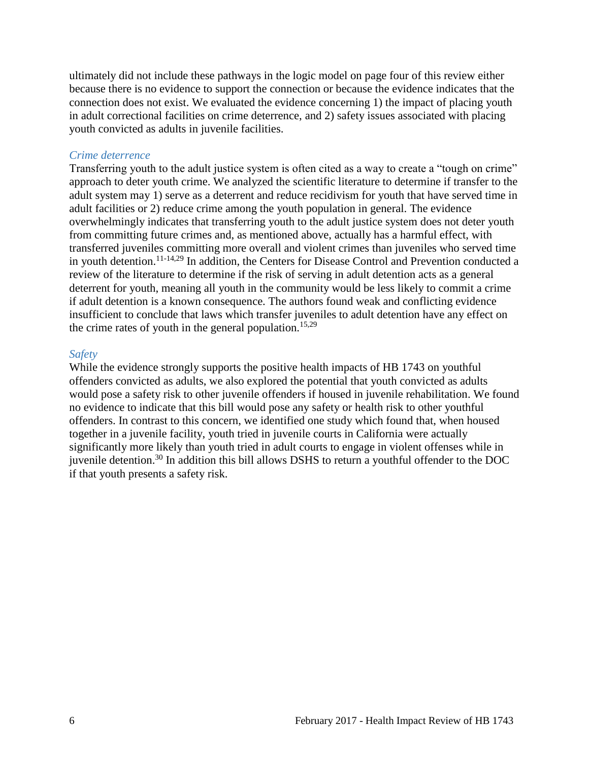ultimately did not include these pathways in the logic model on page four of this review either because there is no evidence to support the connection or because the evidence indicates that the connection does not exist. We evaluated the evidence concerning 1) the impact of placing youth in adult correctional facilities on crime deterrence, and 2) safety issues associated with placing youth convicted as adults in juvenile facilities.

#### *Crime deterrence*

Transferring youth to the adult justice system is often cited as a way to create a "tough on crime" approach to deter youth crime. We analyzed the scientific literature to determine if transfer to the adult system may 1) serve as a deterrent and reduce recidivism for youth that have served time in adult facilities or 2) reduce crime among the youth population in general. The evidence overwhelmingly indicates that transferring youth to the adult justice system does not deter youth from committing future crimes and, as mentioned above, actually has a harmful effect, with transferred juveniles committing more overall and violent crimes than juveniles who served time in youth detention.<sup>11-14,29</sup> In addition, the Centers for Disease Control and Prevention conducted a review of the literature to determine if the risk of serving in adult detention acts as a general deterrent for youth, meaning all youth in the community would be less likely to commit a crime if adult detention is a known consequence. The authors found weak and conflicting evidence insufficient to conclude that laws which transfer juveniles to adult detention have any effect on the crime rates of youth in the general population.<sup>15,29</sup>

#### *Safety*

While the evidence strongly supports the positive health impacts of HB 1743 on youthful offenders convicted as adults, we also explored the potential that youth convicted as adults would pose a safety risk to other juvenile offenders if housed in juvenile rehabilitation. We found no evidence to indicate that this bill would pose any safety or health risk to other youthful offenders. In contrast to this concern, we identified one study which found that, when housed together in a juvenile facility, youth tried in juvenile courts in California were actually significantly more likely than youth tried in adult courts to engage in violent offenses while in juvenile detention.<sup>30</sup> In addition this bill allows DSHS to return a youthful offender to the DOC if that youth presents a safety risk.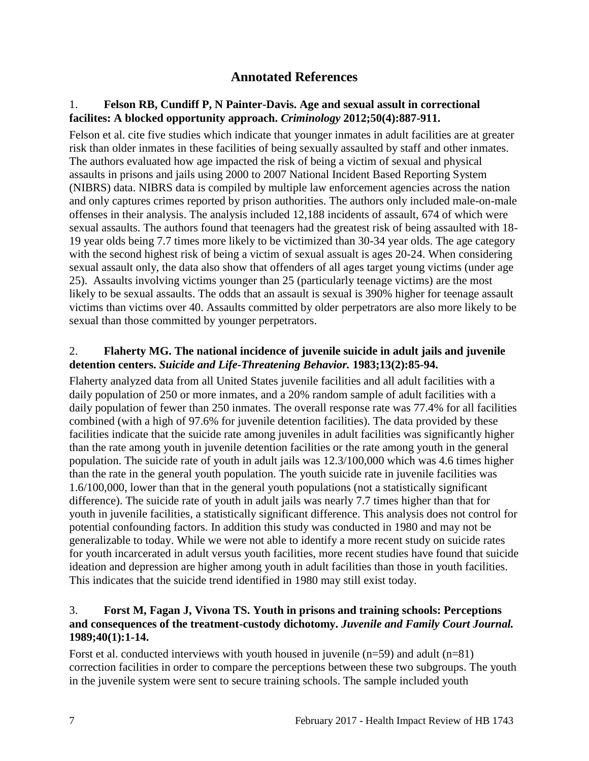## **Annotated References**

#### 1. **Felson RB, Cundiff P, N Painter-Davis. Age and sexual assult in correctional facilites: A blocked opportunity approach.** *Criminology* **2012;50(4):887-911.**

Felson et al. cite five studies which indicate that younger inmates in adult facilities are at greater risk than older inmates in these facilities of being sexually assaulted by staff and other inmates. The authors evaluated how age impacted the risk of being a victim of sexual and physical assaults in prisons and jails using 2000 to 2007 National Incident Based Reporting System (NIBRS) data. NIBRS data is compiled by multiple law enforcement agencies across the nation and only captures crimes reported by prison authorities. The authors only included male-on-male offenses in their analysis. The analysis included 12,188 incidents of assault, 674 of which were sexual assaults. The authors found that teenagers had the greatest risk of being assaulted with 18- 19 year olds being 7.7 times more likely to be victimized than 30-34 year olds. The age category with the second highest risk of being a victim of sexual assualt is ages 20-24. When considering sexual assault only, the data also show that offenders of all ages target young victims (under age 25). Assaults involving victims younger than 25 (particularly teenage victims) are the most likely to be sexual assaults. The odds that an assault is sexual is 390% higher for teenage assault victims than victims over 40. Assaults committed by older perpetrators are also more likely to be sexual than those committed by younger perpetrators.

#### 2. **Flaherty MG. The national incidence of juvenile suicide in adult jails and juvenile detention centers.** *Suicide and Life-Threatening Behavior.* **1983;13(2):85-94.**

Flaherty analyzed data from all United States juvenile facilities and all adult facilities with a daily population of 250 or more inmates, and a 20% random sample of adult facilities with a daily population of fewer than 250 inmates. The overall response rate was 77.4% for all facilities combined (with a high of 97.6% for juvenile detention facilities). The data provided by these facilities indicate that the suicide rate among juveniles in adult facilities was significantly higher than the rate among youth in juvenile detention facilities or the rate among youth in the general population. The suicide rate of youth in adult jails was 12.3/100,000 which was 4.6 times higher than the rate in the general youth population. The youth suicide rate in juvenile facilities was 1.6/100,000, lower than that in the general youth populations (not a statistically significant difference). The suicide rate of youth in adult jails was nearly 7.7 times higher than that for youth in juvenile facilities, a statistically significant difference. This analysis does not control for potential confounding factors. In addition this study was conducted in 1980 and may not be generalizable to today. While we were not able to identify a more recent study on suicide rates for youth incarcerated in adult versus youth facilities, more recent studies have found that suicide ideation and depression are higher among youth in adult facilities than those in youth facilities. This indicates that the suicide trend identified in 1980 may still exist today.

## 3. **Forst M, Fagan J, Vivona TS. Youth in prisons and training schools: Perceptions and consequences of the treatment-custody dichotomy.** *Juvenile and Family Court Journal.*  **1989;40(1):1-14.**

Forst et al. conducted interviews with youth housed in juvenile  $(n=59)$  and adult  $(n=81)$ correction facilities in order to compare the perceptions between these two subgroups. The youth in the juvenile system were sent to secure training schools. The sample included youth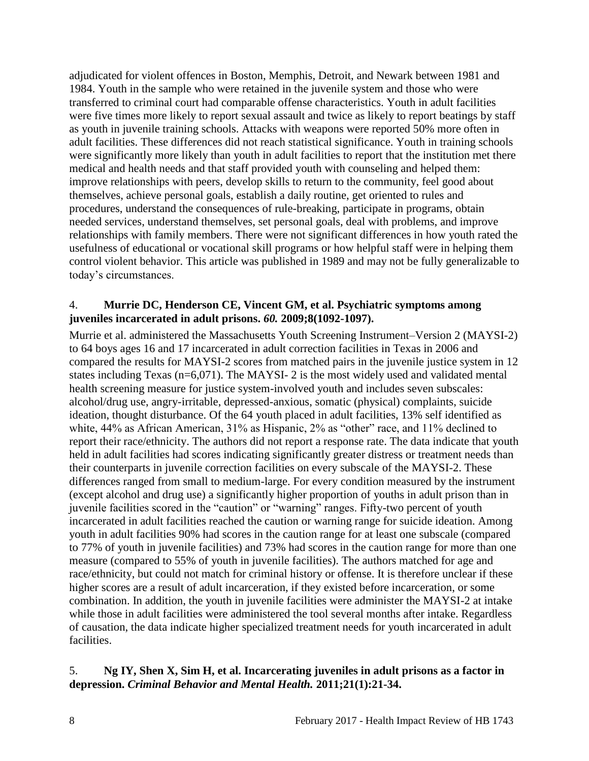adjudicated for violent offences in Boston, Memphis, Detroit, and Newark between 1981 and 1984. Youth in the sample who were retained in the juvenile system and those who were transferred to criminal court had comparable offense characteristics. Youth in adult facilities were five times more likely to report sexual assault and twice as likely to report beatings by staff as youth in juvenile training schools. Attacks with weapons were reported 50% more often in adult facilities. These differences did not reach statistical significance. Youth in training schools were significantly more likely than youth in adult facilities to report that the institution met there medical and health needs and that staff provided youth with counseling and helped them: improve relationships with peers, develop skills to return to the community, feel good about themselves, achieve personal goals, establish a daily routine, get oriented to rules and procedures, understand the consequences of rule-breaking, participate in programs, obtain needed services, understand themselves, set personal goals, deal with problems, and improve relationships with family members. There were not significant differences in how youth rated the usefulness of educational or vocational skill programs or how helpful staff were in helping them control violent behavior. This article was published in 1989 and may not be fully generalizable to today's circumstances.

#### 4. **Murrie DC, Henderson CE, Vincent GM, et al. Psychiatric symptoms among juveniles incarcerated in adult prisons.** *60.* **2009;8(1092-1097).**

Murrie et al. administered the Massachusetts Youth Screening Instrument–Version 2 (MAYSI-2) to 64 boys ages 16 and 17 incarcerated in adult correction facilities in Texas in 2006 and compared the results for MAYSI-2 scores from matched pairs in the juvenile justice system in 12 states including Texas (n=6,071). The MAYSI- 2 is the most widely used and validated mental health screening measure for justice system-involved youth and includes seven subscales: alcohol/drug use, angry-irritable, depressed-anxious, somatic (physical) complaints, suicide ideation, thought disturbance. Of the 64 youth placed in adult facilities, 13% self identified as white, 44% as African American, 31% as Hispanic, 2% as "other" race, and 11% declined to report their race/ethnicity. The authors did not report a response rate. The data indicate that youth held in adult facilities had scores indicating significantly greater distress or treatment needs than their counterparts in juvenile correction facilities on every subscale of the MAYSI-2. These differences ranged from small to medium-large. For every condition measured by the instrument (except alcohol and drug use) a significantly higher proportion of youths in adult prison than in juvenile facilities scored in the "caution" or "warning" ranges. Fifty-two percent of youth incarcerated in adult facilities reached the caution or warning range for suicide ideation. Among youth in adult facilities 90% had scores in the caution range for at least one subscale (compared to 77% of youth in juvenile facilities) and 73% had scores in the caution range for more than one measure (compared to 55% of youth in juvenile facilities). The authors matched for age and race/ethnicity, but could not match for criminal history or offense. It is therefore unclear if these higher scores are a result of adult incarceration, if they existed before incarceration, or some combination. In addition, the youth in juvenile facilities were administer the MAYSI-2 at intake while those in adult facilities were administered the tool several months after intake. Regardless of causation, the data indicate higher specialized treatment needs for youth incarcerated in adult facilities.

## 5. **Ng IY, Shen X, Sim H, et al. Incarcerating juveniles in adult prisons as a factor in depression.** *Criminal Behavior and Mental Health.* **2011;21(1):21-34.**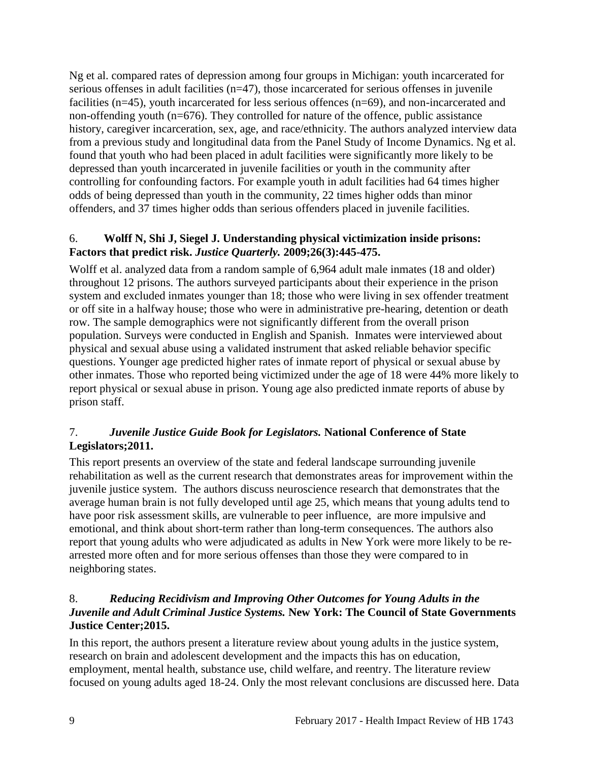Ng et al. compared rates of depression among four groups in Michigan: youth incarcerated for serious offenses in adult facilities (n=47), those incarcerated for serious offenses in juvenile facilities (n=45), youth incarcerated for less serious offences (n=69), and non-incarcerated and non-offending youth (n=676). They controlled for nature of the offence, public assistance history, caregiver incarceration, sex, age, and race/ethnicity. The authors analyzed interview data from a previous study and longitudinal data from the Panel Study of Income Dynamics. Ng et al. found that youth who had been placed in adult facilities were significantly more likely to be depressed than youth incarcerated in juvenile facilities or youth in the community after controlling for confounding factors. For example youth in adult facilities had 64 times higher odds of being depressed than youth in the community, 22 times higher odds than minor offenders, and 37 times higher odds than serious offenders placed in juvenile facilities.

#### 6. **Wolff N, Shi J, Siegel J. Understanding physical victimization inside prisons: Factors that predict risk.** *Justice Quarterly.* **2009;26(3):445-475.**

Wolff et al. analyzed data from a random sample of 6,964 adult male inmates (18 and older) throughout 12 prisons. The authors surveyed participants about their experience in the prison system and excluded inmates younger than 18; those who were living in sex offender treatment or off site in a halfway house; those who were in administrative pre-hearing, detention or death row. The sample demographics were not significantly different from the overall prison population. Surveys were conducted in English and Spanish. Inmates were interviewed about physical and sexual abuse using a validated instrument that asked reliable behavior specific questions. Younger age predicted higher rates of inmate report of physical or sexual abuse by other inmates. Those who reported being victimized under the age of 18 were 44% more likely to report physical or sexual abuse in prison. Young age also predicted inmate reports of abuse by prison staff.

## 7.*Juvenile Justice Guide Book for Legislators.* **National Conference of State Legislators;2011.**

This report presents an overview of the state and federal landscape surrounding juvenile rehabilitation as well as the current research that demonstrates areas for improvement within the juvenile justice system. The authors discuss neuroscience research that demonstrates that the average human brain is not fully developed until age 25, which means that young adults tend to have poor risk assessment skills, are vulnerable to peer influence, are more impulsive and emotional, and think about short-term rather than long-term consequences. The authors also report that young adults who were adjudicated as adults in New York were more likely to be rearrested more often and for more serious offenses than those they were compared to in neighboring states.

## 8.*Reducing Recidivism and Improving Other Outcomes for Young Adults in the Juvenile and Adult Criminal Justice Systems.* **New York: The Council of State Governments Justice Center;2015.**

In this report, the authors present a literature review about young adults in the justice system, research on brain and adolescent development and the impacts this has on education, employment, mental health, substance use, child welfare, and reentry. The literature review focused on young adults aged 18-24. Only the most relevant conclusions are discussed here. Data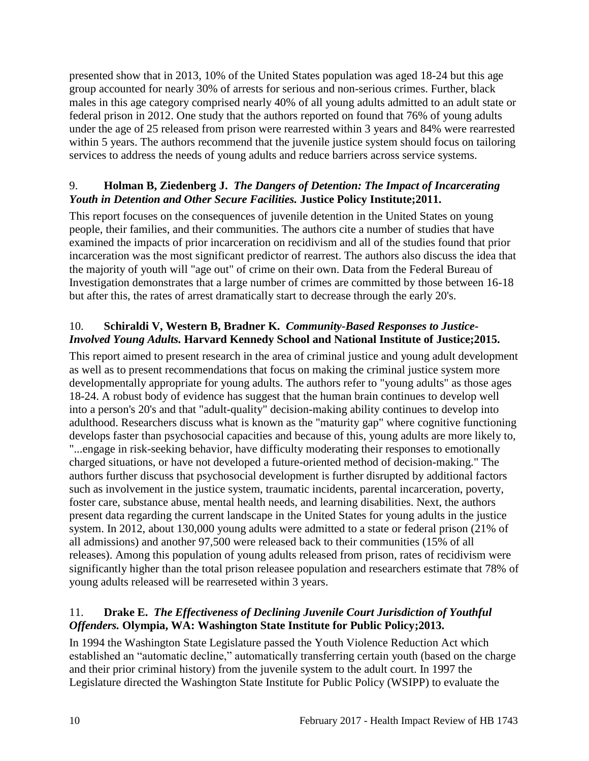presented show that in 2013, 10% of the United States population was aged 18-24 but this age group accounted for nearly 30% of arrests for serious and non-serious crimes. Further, black males in this age category comprised nearly 40% of all young adults admitted to an adult state or federal prison in 2012. One study that the authors reported on found that 76% of young adults under the age of 25 released from prison were rearrested within 3 years and 84% were rearrested within 5 years. The authors recommend that the juvenile justice system should focus on tailoring services to address the needs of young adults and reduce barriers across service systems.

## 9. **Holman B, Ziedenberg J.** *The Dangers of Detention: The Impact of Incarcerating Youth in Detention and Other Secure Facilities.* **Justice Policy Institute;2011.**

This report focuses on the consequences of juvenile detention in the United States on young people, their families, and their communities. The authors cite a number of studies that have examined the impacts of prior incarceration on recidivism and all of the studies found that prior incarceration was the most significant predictor of rearrest. The authors also discuss the idea that the majority of youth will "age out" of crime on their own. Data from the Federal Bureau of Investigation demonstrates that a large number of crimes are committed by those between 16-18 but after this, the rates of arrest dramatically start to decrease through the early 20's.

## 10. **Schiraldi V, Western B, Bradner K.** *Community-Based Responses to Justice-Involved Young Adults.* **Harvard Kennedy School and National Institute of Justice;2015.**

This report aimed to present research in the area of criminal justice and young adult development as well as to present recommendations that focus on making the criminal justice system more developmentally appropriate for young adults. The authors refer to "young adults" as those ages 18-24. A robust body of evidence has suggest that the human brain continues to develop well into a person's 20's and that "adult-quality" decision-making ability continues to develop into adulthood. Researchers discuss what is known as the "maturity gap" where cognitive functioning develops faster than psychosocial capacities and because of this, young adults are more likely to, "...engage in risk-seeking behavior, have difficulty moderating their responses to emotionally charged situations, or have not developed a future-oriented method of decision-making." The authors further discuss that psychosocial development is further disrupted by additional factors such as involvement in the justice system, traumatic incidents, parental incarceration, poverty, foster care, substance abuse, mental health needs, and learning disabilities. Next, the authors present data regarding the current landscape in the United States for young adults in the justice system. In 2012, about 130,000 young adults were admitted to a state or federal prison (21% of all admissions) and another 97,500 were released back to their communities (15% of all releases). Among this population of young adults released from prison, rates of recidivism were significantly higher than the total prison releasee population and researchers estimate that 78% of young adults released will be rearreseted within 3 years.

## 11. **Drake E.** *The Effectiveness of Declining Juvenile Court Jurisdiction of Youthful Offenders.* **Olympia, WA: Washington State Institute for Public Policy;2013.**

In 1994 the Washington State Legislature passed the Youth Violence Reduction Act which established an "automatic decline," automatically transferring certain youth (based on the charge and their prior criminal history) from the juvenile system to the adult court. In 1997 the Legislature directed the Washington State Institute for Public Policy (WSIPP) to evaluate the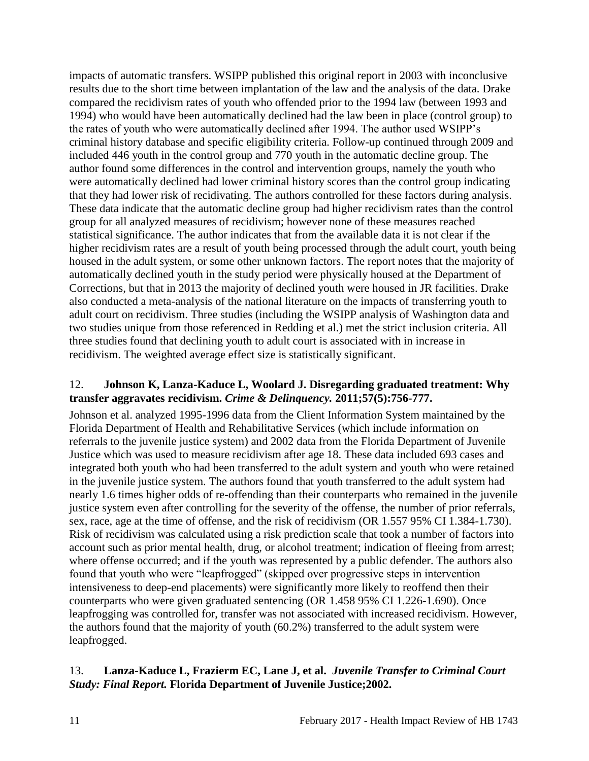impacts of automatic transfers. WSIPP published this original report in 2003 with inconclusive results due to the short time between implantation of the law and the analysis of the data. Drake compared the recidivism rates of youth who offended prior to the 1994 law (between 1993 and 1994) who would have been automatically declined had the law been in place (control group) to the rates of youth who were automatically declined after 1994. The author used WSIPP's criminal history database and specific eligibility criteria. Follow-up continued through 2009 and included 446 youth in the control group and 770 youth in the automatic decline group. The author found some differences in the control and intervention groups, namely the youth who were automatically declined had lower criminal history scores than the control group indicating that they had lower risk of recidivating. The authors controlled for these factors during analysis. These data indicate that the automatic decline group had higher recidivism rates than the control group for all analyzed measures of recidivism; however none of these measures reached statistical significance. The author indicates that from the available data it is not clear if the higher recidivism rates are a result of youth being processed through the adult court, youth being housed in the adult system, or some other unknown factors. The report notes that the majority of automatically declined youth in the study period were physically housed at the Department of Corrections, but that in 2013 the majority of declined youth were housed in JR facilities. Drake also conducted a meta-analysis of the national literature on the impacts of transferring youth to adult court on recidivism. Three studies (including the WSIPP analysis of Washington data and two studies unique from those referenced in Redding et al.) met the strict inclusion criteria. All three studies found that declining youth to adult court is associated with in increase in recidivism. The weighted average effect size is statistically significant.

## 12. **Johnson K, Lanza-Kaduce L, Woolard J. Disregarding graduated treatment: Why transfer aggravates recidivism.** *Crime & Delinquency.* **2011;57(5):756-777.**

Johnson et al. analyzed 1995-1996 data from the Client Information System maintained by the Florida Department of Health and Rehabilitative Services (which include information on referrals to the juvenile justice system) and 2002 data from the Florida Department of Juvenile Justice which was used to measure recidivism after age 18. These data included 693 cases and integrated both youth who had been transferred to the adult system and youth who were retained in the juvenile justice system. The authors found that youth transferred to the adult system had nearly 1.6 times higher odds of re-offending than their counterparts who remained in the juvenile justice system even after controlling for the severity of the offense, the number of prior referrals, sex, race, age at the time of offense, and the risk of recidivism (OR 1.557 95% CI 1.384-1.730). Risk of recidivism was calculated using a risk prediction scale that took a number of factors into account such as prior mental health, drug, or alcohol treatment; indication of fleeing from arrest; where offense occurred; and if the youth was represented by a public defender. The authors also found that youth who were "leapfrogged" (skipped over progressive steps in intervention intensiveness to deep-end placements) were significantly more likely to reoffend then their counterparts who were given graduated sentencing (OR 1.458 95% CI 1.226-1.690). Once leapfrogging was controlled for, transfer was not associated with increased recidivism. However, the authors found that the majority of youth (60.2%) transferred to the adult system were leapfrogged.

## 13. **Lanza-Kaduce L, Frazierm EC, Lane J, et al.** *Juvenile Transfer to Criminal Court Study: Final Report.* **Florida Department of Juvenile Justice;2002.**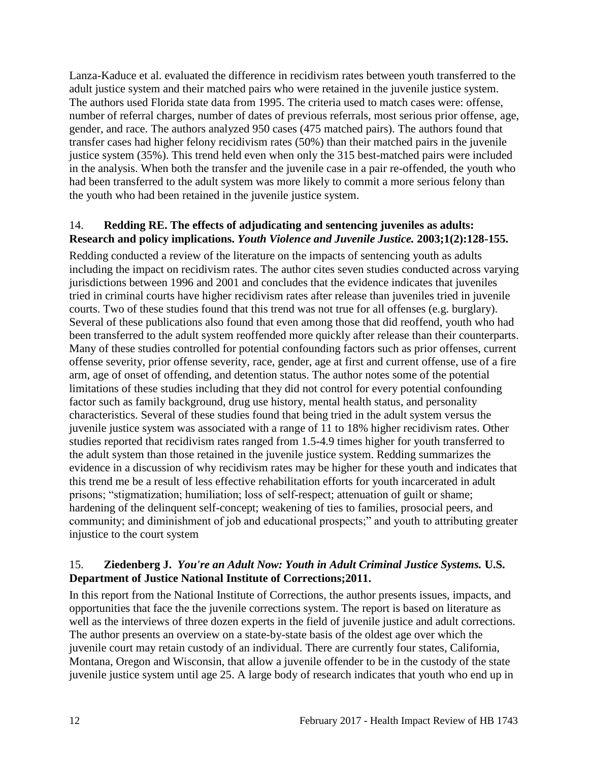Lanza-Kaduce et al. evaluated the difference in recidivism rates between youth transferred to the adult justice system and their matched pairs who were retained in the juvenile justice system. The authors used Florida state data from 1995. The criteria used to match cases were: offense, number of referral charges, number of dates of previous referrals, most serious prior offense, age, gender, and race. The authors analyzed 950 cases (475 matched pairs). The authors found that transfer cases had higher felony recidivism rates (50%) than their matched pairs in the juvenile justice system (35%). This trend held even when only the 315 best-matched pairs were included in the analysis. When both the transfer and the juvenile case in a pair re-offended, the youth who had been transferred to the adult system was more likely to commit a more serious felony than the youth who had been retained in the juvenile justice system.

## 14. **Redding RE. The effects of adjudicating and sentencing juveniles as adults: Research and policy implications.** *Youth Violence and Juvenile Justice.* **2003;1(2):128-155.**

Redding conducted a review of the literature on the impacts of sentencing youth as adults including the impact on recidivism rates. The author cites seven studies conducted across varying jurisdictions between 1996 and 2001 and concludes that the evidence indicates that juveniles tried in criminal courts have higher recidivism rates after release than juveniles tried in juvenile courts. Two of these studies found that this trend was not true for all offenses (e.g. burglary). Several of these publications also found that even among those that did reoffend, youth who had been transferred to the adult system reoffended more quickly after release than their counterparts. Many of these studies controlled for potential confounding factors such as prior offenses, current offense severity, prior offense severity, race, gender, age at first and current offense, use of a fire arm, age of onset of offending, and detention status. The author notes some of the potential limitations of these studies including that they did not control for every potential confounding factor such as family background, drug use history, mental health status, and personality characteristics. Several of these studies found that being tried in the adult system versus the juvenile justice system was associated with a range of 11 to 18% higher recidivism rates. Other studies reported that recidivism rates ranged from 1.5-4.9 times higher for youth transferred to the adult system than those retained in the juvenile justice system. Redding summarizes the evidence in a discussion of why recidivism rates may be higher for these youth and indicates that this trend me be a result of less effective rehabilitation efforts for youth incarcerated in adult prisons; "stigmatization; humiliation; loss of self-respect; attenuation of guilt or shame; hardening of the delinquent self-concept; weakening of ties to families, prosocial peers, and community; and diminishment of job and educational prospects;" and youth to attributing greater injustice to the court system

#### 15. **Ziedenberg J.** *You're an Adult Now: Youth in Adult Criminal Justice Systems.* **U.S. Department of Justice National Institute of Corrections;2011.**

In this report from the National Institute of Corrections, the author presents issues, impacts, and opportunities that face the the juvenile corrections system. The report is based on literature as well as the interviews of three dozen experts in the field of juvenile justice and adult corrections. The author presents an overview on a state-by-state basis of the oldest age over which the juvenile court may retain custody of an individual. There are currently four states, California, Montana, Oregon and Wisconsin, that allow a juvenile offender to be in the custody of the state juvenile justice system until age 25. A large body of research indicates that youth who end up in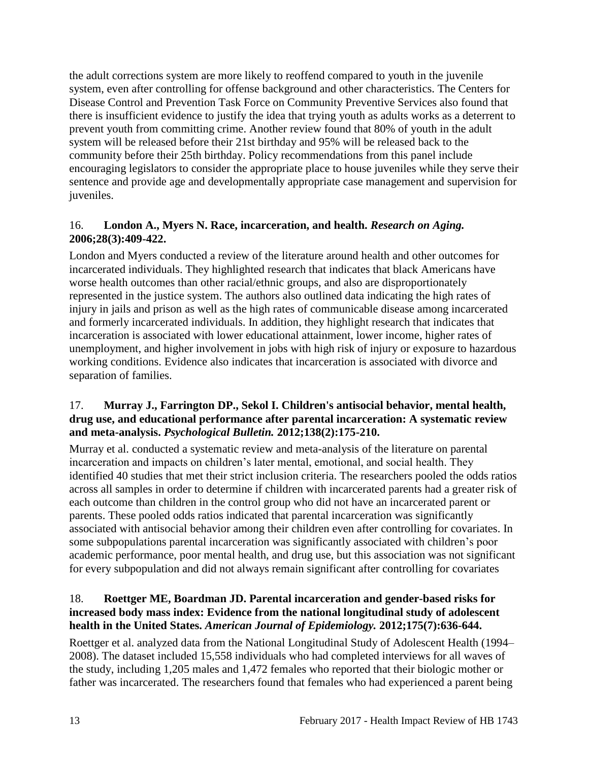the adult corrections system are more likely to reoffend compared to youth in the juvenile system, even after controlling for offense background and other characteristics. The Centers for Disease Control and Prevention Task Force on Community Preventive Services also found that there is insufficient evidence to justify the idea that trying youth as adults works as a deterrent to prevent youth from committing crime. Another review found that 80% of youth in the adult system will be released before their 21st birthday and 95% will be released back to the community before their 25th birthday. Policy recommendations from this panel include encouraging legislators to consider the appropriate place to house juveniles while they serve their sentence and provide age and developmentally appropriate case management and supervision for juveniles.

## 16. **London A., Myers N. Race, incarceration, and health.** *Research on Aging.*  **2006;28(3):409-422.**

London and Myers conducted a review of the literature around health and other outcomes for incarcerated individuals. They highlighted research that indicates that black Americans have worse health outcomes than other racial/ethnic groups, and also are disproportionately represented in the justice system. The authors also outlined data indicating the high rates of injury in jails and prison as well as the high rates of communicable disease among incarcerated and formerly incarcerated individuals. In addition, they highlight research that indicates that incarceration is associated with lower educational attainment, lower income, higher rates of unemployment, and higher involvement in jobs with high risk of injury or exposure to hazardous working conditions. Evidence also indicates that incarceration is associated with divorce and separation of families.

## 17. **Murray J., Farrington DP., Sekol I. Children's antisocial behavior, mental health, drug use, and educational performance after parental incarceration: A systematic review and meta-analysis.** *Psychological Bulletin.* **2012;138(2):175-210.**

Murray et al. conducted a systematic review and meta-analysis of the literature on parental incarceration and impacts on children's later mental, emotional, and social health. They identified 40 studies that met their strict inclusion criteria. The researchers pooled the odds ratios across all samples in order to determine if children with incarcerated parents had a greater risk of each outcome than children in the control group who did not have an incarcerated parent or parents. These pooled odds ratios indicated that parental incarceration was significantly associated with antisocial behavior among their children even after controlling for covariates. In some subpopulations parental incarceration was significantly associated with children's poor academic performance, poor mental health, and drug use, but this association was not significant for every subpopulation and did not always remain significant after controlling for covariates

## 18. **Roettger ME, Boardman JD. Parental incarceration and gender-based risks for increased body mass index: Evidence from the national longitudinal study of adolescent health in the United States.** *American Journal of Epidemiology.* **2012;175(7):636-644.**

Roettger et al. analyzed data from the National Longitudinal Study of Adolescent Health (1994– 2008). The dataset included 15,558 individuals who had completed interviews for all waves of the study, including 1,205 males and 1,472 females who reported that their biologic mother or father was incarcerated. The researchers found that females who had experienced a parent being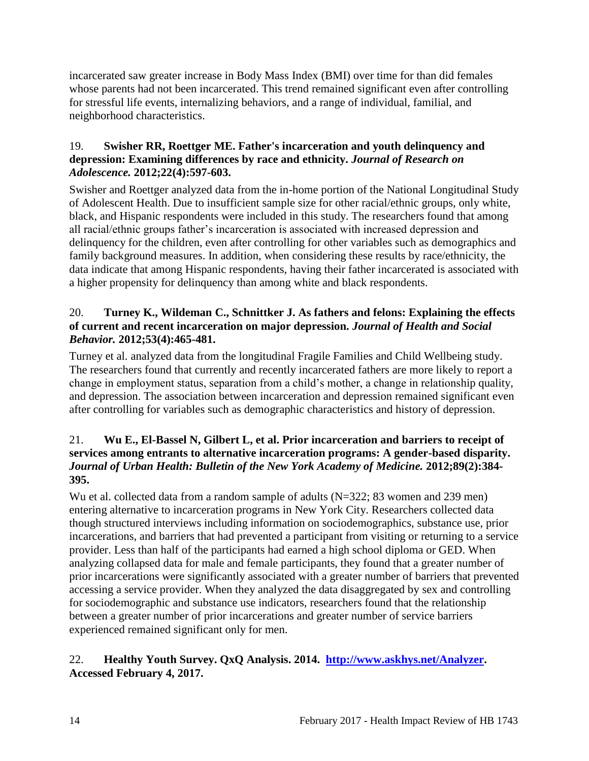incarcerated saw greater increase in Body Mass Index (BMI) over time for than did females whose parents had not been incarcerated. This trend remained significant even after controlling for stressful life events, internalizing behaviors, and a range of individual, familial, and neighborhood characteristics.

#### 19. **Swisher RR, Roettger ME. Father's incarceration and youth delinquency and depression: Examining differences by race and ethnicity.** *Journal of Research on Adolescence.* **2012;22(4):597-603.**

Swisher and Roettger analyzed data from the in-home portion of the National Longitudinal Study of Adolescent Health. Due to insufficient sample size for other racial/ethnic groups, only white, black, and Hispanic respondents were included in this study. The researchers found that among all racial/ethnic groups father's incarceration is associated with increased depression and delinquency for the children, even after controlling for other variables such as demographics and family background measures. In addition, when considering these results by race/ethnicity, the data indicate that among Hispanic respondents, having their father incarcerated is associated with a higher propensity for delinquency than among white and black respondents.

## 20. **Turney K., Wildeman C., Schnittker J. As fathers and felons: Explaining the effects of current and recent incarceration on major depression.** *Journal of Health and Social Behavior.* **2012;53(4):465-481.**

Turney et al. analyzed data from the longitudinal Fragile Families and Child Wellbeing study. The researchers found that currently and recently incarcerated fathers are more likely to report a change in employment status, separation from a child's mother, a change in relationship quality, and depression. The association between incarceration and depression remained significant even after controlling for variables such as demographic characteristics and history of depression.

#### 21. **Wu E., El-Bassel N, Gilbert L, et al. Prior incarceration and barriers to receipt of services among entrants to alternative incarceration programs: A gender-based disparity.**  *Journal of Urban Health: Bulletin of the New York Academy of Medicine.* **2012;89(2):384- 395.**

Wu et al. collected data from a random sample of adults (N=322; 83 women and 239 men) entering alternative to incarceration programs in New York City. Researchers collected data though structured interviews including information on sociodemographics, substance use, prior incarcerations, and barriers that had prevented a participant from visiting or returning to a service provider. Less than half of the participants had earned a high school diploma or GED. When analyzing collapsed data for male and female participants, they found that a greater number of prior incarcerations were significantly associated with a greater number of barriers that prevented accessing a service provider. When they analyzed the data disaggregated by sex and controlling for sociodemographic and substance use indicators, researchers found that the relationship between a greater number of prior incarcerations and greater number of service barriers experienced remained significant only for men.

## 22. **Healthy Youth Survey. QxQ Analysis. 2014. [http://www.askhys.net/Analyzer.](http://www.askhys.net/Analyzer) Accessed February 4, 2017.**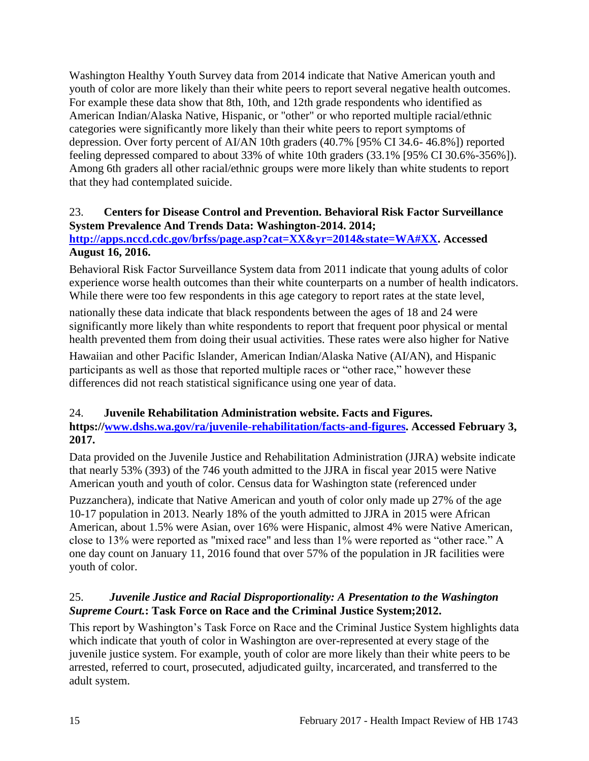Washington Healthy Youth Survey data from 2014 indicate that Native American youth and youth of color are more likely than their white peers to report several negative health outcomes. For example these data show that 8th, 10th, and 12th grade respondents who identified as American Indian/Alaska Native, Hispanic, or "other" or who reported multiple racial/ethnic categories were significantly more likely than their white peers to report symptoms of depression. Over forty percent of AI/AN 10th graders (40.7% [95% CI 34.6- 46.8%]) reported feeling depressed compared to about 33% of white 10th graders (33.1% [95% CI 30.6%-356%]). Among 6th graders all other racial/ethnic groups were more likely than white students to report that they had contemplated suicide.

#### 23. **Centers for Disease Control and Prevention. Behavioral Risk Factor Surveillance System Prevalence And Trends Data: Washington-2014. 2014;**

## **[http://apps.nccd.cdc.gov/brfss/page.asp?cat=XX&yr=2014&state=WA#XX.](http://apps.nccd.cdc.gov/brfss/page.asp?cat=XX&yr=2014&state=WA#XX) Accessed August 16, 2016.**

Behavioral Risk Factor Surveillance System data from 2011 indicate that young adults of color experience worse health outcomes than their white counterparts on a number of health indicators. While there were too few respondents in this age category to report rates at the state level,

nationally these data indicate that black respondents between the ages of 18 and 24 were significantly more likely than white respondents to report that frequent poor physical or mental health prevented them from doing their usual activities. These rates were also higher for Native

Hawaiian and other Pacific Islander, American Indian/Alaska Native (AI/AN), and Hispanic participants as well as those that reported multiple races or "other race," however these differences did not reach statistical significance using one year of data.

#### 24. **Juvenile Rehabilitation Administration website. Facts and Figures.**

**https:/[/www.dshs.wa.gov/ra/juvenile-rehabilitation/facts-and-figures.](http://www.dshs.wa.gov/ra/juvenile-rehabilitation/facts-and-figures) Accessed February 3, 2017.**

Data provided on the Juvenile Justice and Rehabilitation Administration (JJRA) website indicate that nearly 53% (393) of the 746 youth admitted to the JJRA in fiscal year 2015 were Native American youth and youth of color. Census data for Washington state (referenced under

Puzzanchera), indicate that Native American and youth of color only made up 27% of the age 10-17 population in 2013. Nearly 18% of the youth admitted to JJRA in 2015 were African American, about 1.5% were Asian, over 16% were Hispanic, almost 4% were Native American, close to 13% were reported as "mixed race" and less than 1% were reported as "other race." A one day count on January 11, 2016 found that over 57% of the population in JR facilities were youth of color.

## 25.*Juvenile Justice and Racial Disproportionality: A Presentation to the Washington Supreme Court.***: Task Force on Race and the Criminal Justice System;2012.**

This report by Washington's Task Force on Race and the Criminal Justice System highlights data which indicate that youth of color in Washington are over-represented at every stage of the juvenile justice system. For example, youth of color are more likely than their white peers to be arrested, referred to court, prosecuted, adjudicated guilty, incarcerated, and transferred to the adult system.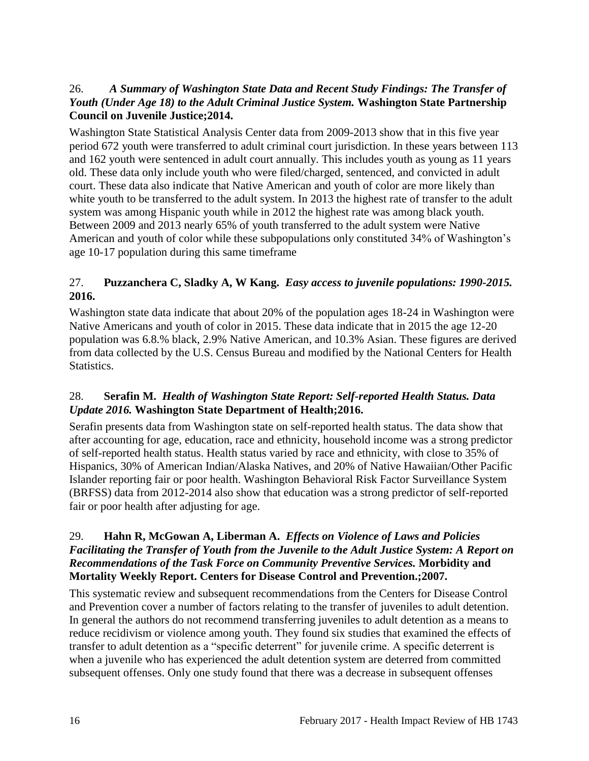#### 26.*A Summary of Washington State Data and Recent Study Findings: The Transfer of Youth (Under Age 18) to the Adult Criminal Justice System.* **Washington State Partnership Council on Juvenile Justice;2014.**

Washington State Statistical Analysis Center data from 2009-2013 show that in this five year period 672 youth were transferred to adult criminal court jurisdiction. In these years between 113 and 162 youth were sentenced in adult court annually. This includes youth as young as 11 years old. These data only include youth who were filed/charged, sentenced, and convicted in adult court. These data also indicate that Native American and youth of color are more likely than white youth to be transferred to the adult system. In 2013 the highest rate of transfer to the adult system was among Hispanic youth while in 2012 the highest rate was among black youth. Between 2009 and 2013 nearly 65% of youth transferred to the adult system were Native American and youth of color while these subpopulations only constituted 34% of Washington's age 10-17 population during this same timeframe

## 27. **Puzzanchera C, Sladky A, W Kang.** *Easy access to juvenile populations: 1990-2015.*  **2016.**

Washington state data indicate that about 20% of the population ages 18-24 in Washington were Native Americans and youth of color in 2015. These data indicate that in 2015 the age 12-20 population was 6.8.% black, 2.9% Native American, and 10.3% Asian. These figures are derived from data collected by the U.S. Census Bureau and modified by the National Centers for Health Statistics.

## 28. **Serafin M.** *Health of Washington State Report: Self-reported Health Status. Data Update 2016.* **Washington State Department of Health;2016.**

Serafin presents data from Washington state on self-reported health status. The data show that after accounting for age, education, race and ethnicity, household income was a strong predictor of self-reported health status. Health status varied by race and ethnicity, with close to 35% of Hispanics, 30% of American Indian/Alaska Natives, and 20% of Native Hawaiian/Other Pacific Islander reporting fair or poor health. Washington Behavioral Risk Factor Surveillance System (BRFSS) data from 2012-2014 also show that education was a strong predictor of self-reported fair or poor health after adjusting for age.

#### 29. **Hahn R, McGowan A, Liberman A.** *Effects on Violence of Laws and Policies Facilitating the Transfer of Youth from the Juvenile to the Adult Justice System: A Report on Recommendations of the Task Force on Community Preventive Services.* **Morbidity and Mortality Weekly Report. Centers for Disease Control and Prevention.;2007.**

This systematic review and subsequent recommendations from the Centers for Disease Control and Prevention cover a number of factors relating to the transfer of juveniles to adult detention. In general the authors do not recommend transferring juveniles to adult detention as a means to reduce recidivism or violence among youth. They found six studies that examined the effects of transfer to adult detention as a "specific deterrent" for juvenile crime. A specific deterrent is when a juvenile who has experienced the adult detention system are deterred from committed subsequent offenses. Only one study found that there was a decrease in subsequent offenses